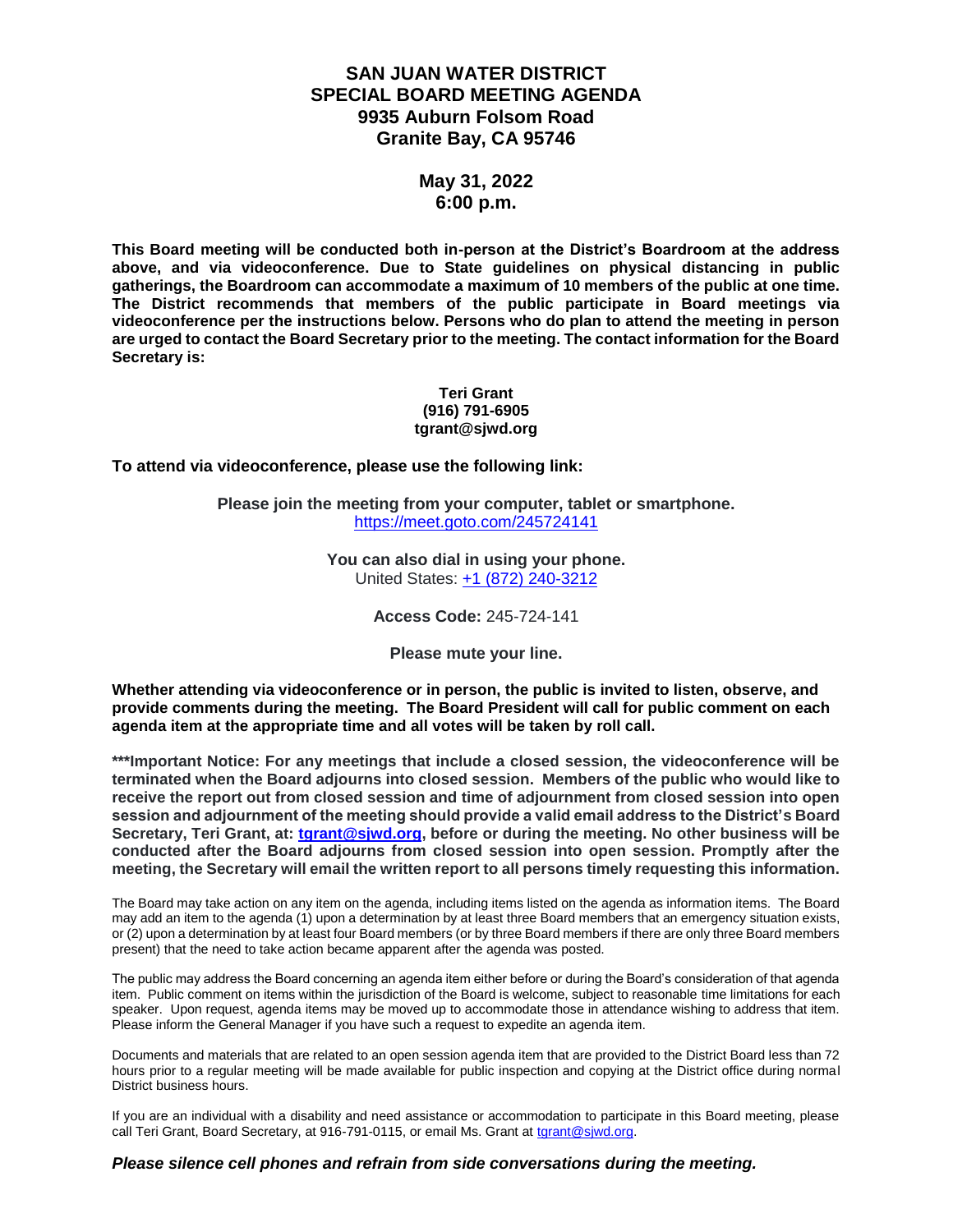## **SAN JUAN WATER DISTRICT SPECIAL BOARD MEETING AGENDA 9935 Auburn Folsom Road Granite Bay, CA 95746**

### **May 31, 2022 6:00 p.m.**

**This Board meeting will be conducted both in-person at the District's Boardroom at the address above, and via videoconference. Due to State guidelines on physical distancing in public gatherings, the Boardroom can accommodate a maximum of 10 members of the public at one time. The District recommends that members of the public participate in Board meetings via videoconference per the instructions below. Persons who do plan to attend the meeting in person are urged to contact the Board Secretary prior to the meeting. The contact information for the Board Secretary is:**

#### **Teri Grant (916) 791-6905 tgrant@sjwd.org**

**To attend via videoconference, please use the following link:**

**Please join the meeting from your computer, tablet or smartphone.** <https://meet.goto.com/245724141>

> **You can also dial in using your phone.** United States: [+1 \(872\) 240-3212](tel:+18722403212,,245724141)

> > **Access Code:** 245-724-141

**Please mute your line.**

**Whether attending via videoconference or in person, the public is invited to listen, observe, and provide comments during the meeting. The Board President will call for public comment on each agenda item at the appropriate time and all votes will be taken by roll call.** 

**\*\*\*Important Notice: For any meetings that include a closed session, the videoconference will be terminated when the Board adjourns into closed session. Members of the public who would like to receive the report out from closed session and time of adjournment from closed session into open session and adjournment of the meeting should provide a valid email address to the District's Board Secretary, Teri Grant, at: [tgrant@sjwd.org,](mailto:tgrant@sjwd.org) before or during the meeting. No other business will be conducted after the Board adjourns from closed session into open session. Promptly after the meeting, the Secretary will email the written report to all persons timely requesting this information.**

The Board may take action on any item on the agenda, including items listed on the agenda as information items. The Board may add an item to the agenda (1) upon a determination by at least three Board members that an emergency situation exists, or (2) upon a determination by at least four Board members (or by three Board members if there are only three Board members present) that the need to take action became apparent after the agenda was posted.

The public may address the Board concerning an agenda item either before or during the Board's consideration of that agenda item. Public comment on items within the jurisdiction of the Board is welcome, subject to reasonable time limitations for each speaker. Upon request, agenda items may be moved up to accommodate those in attendance wishing to address that item. Please inform the General Manager if you have such a request to expedite an agenda item.

Documents and materials that are related to an open session agenda item that are provided to the District Board less than 72 hours prior to a regular meeting will be made available for public inspection and copying at the District office during normal District business hours.

If you are an individual with a disability and need assistance or accommodation to participate in this Board meeting, please call Teri Grant, Board Secretary, at 916-791-0115, or email Ms. Grant at [tgrant@sjwd.org.](mailto:tgrant@sjwd.org)

#### *Please silence cell phones and refrain from side conversations during the meeting.*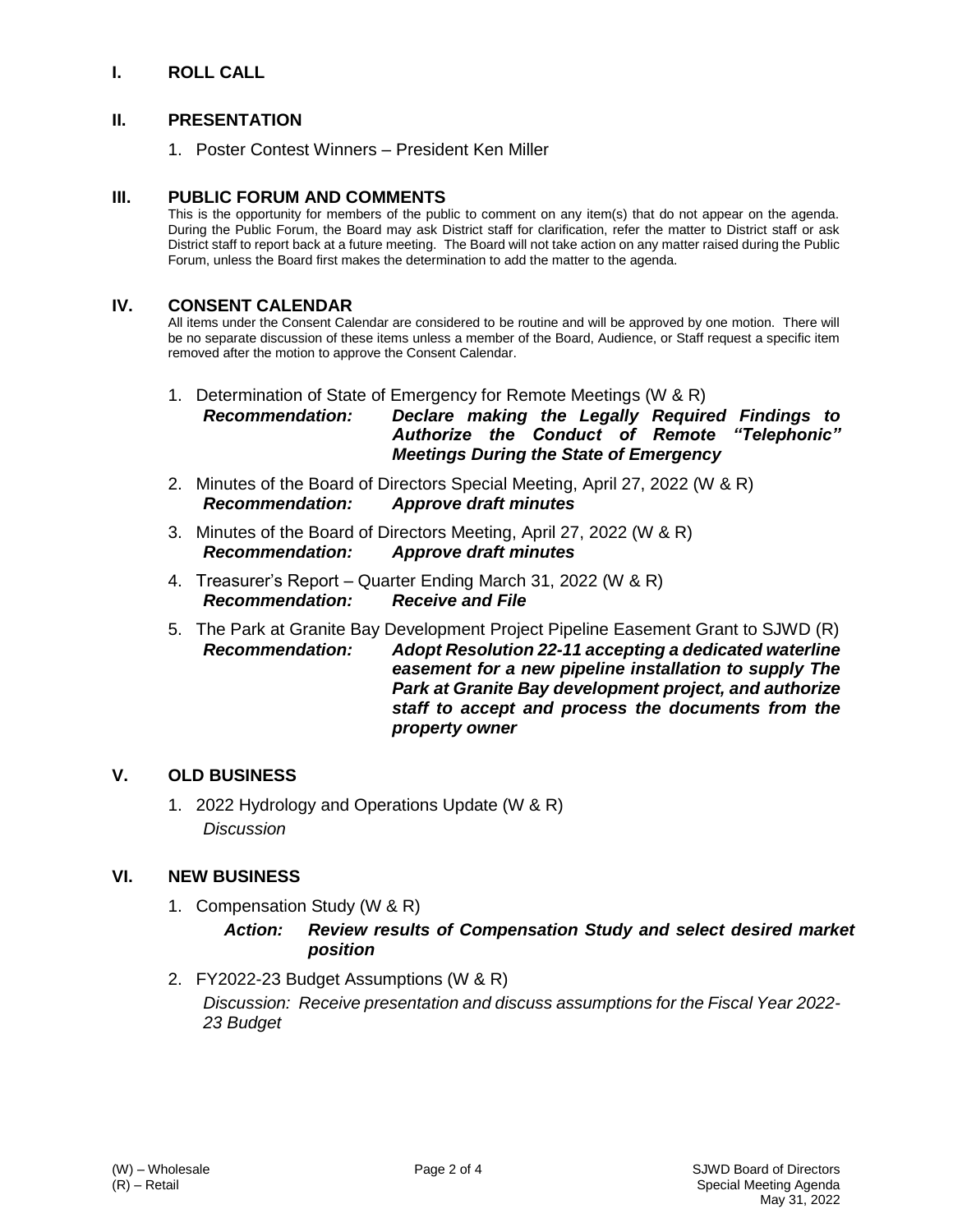## **I. ROLL CALL**

### **II. PRESENTATION**

1. Poster Contest Winners – President Ken Miller

#### **III. PUBLIC FORUM AND COMMENTS**

This is the opportunity for members of the public to comment on any item(s) that do not appear on the agenda. During the Public Forum, the Board may ask District staff for clarification, refer the matter to District staff or ask District staff to report back at a future meeting. The Board will not take action on any matter raised during the Public Forum, unless the Board first makes the determination to add the matter to the agenda.

#### **IV. CONSENT CALENDAR**

All items under the Consent Calendar are considered to be routine and will be approved by one motion. There will be no separate discussion of these items unless a member of the Board, Audience, or Staff request a specific item removed after the motion to approve the Consent Calendar.

#### 1. Determination of State of Emergency for Remote Meetings (W & R) *Recommendation: Declare making the Legally Required Findings to Authorize the Conduct of Remote "Telephonic" Meetings During the State of Emergency*

- 2. Minutes of the Board of Directors Special Meeting, April 27, 2022 (W & R) *Recommendation: Approve draft minutes*
- 3. Minutes of the Board of Directors Meeting, April 27, 2022 (W & R) *Recommendation: Approve draft minutes*
- 4. Treasurer's Report Quarter Ending March 31, 2022 (W & R) *Recommendation: Receive and File*
- 5. The Park at Granite Bay Development Project Pipeline Easement Grant to SJWD (R) *Recommendation: Adopt Resolution 22-11 accepting a dedicated waterline easement for a new pipeline installation to supply The Park at Granite Bay development project, and authorize staff to accept and process the documents from the property owner*

### **V. OLD BUSINESS**

1. 2022 Hydrology and Operations Update (W & R) *Discussion*

### **VI. NEW BUSINESS**

1. Compensation Study (W & R)

#### *Action: Review results of Compensation Study and select desired market position*

2. FY2022-23 Budget Assumptions (W & R) *Discussion: Receive presentation and discuss assumptions for the Fiscal Year 2022- 23 Budget*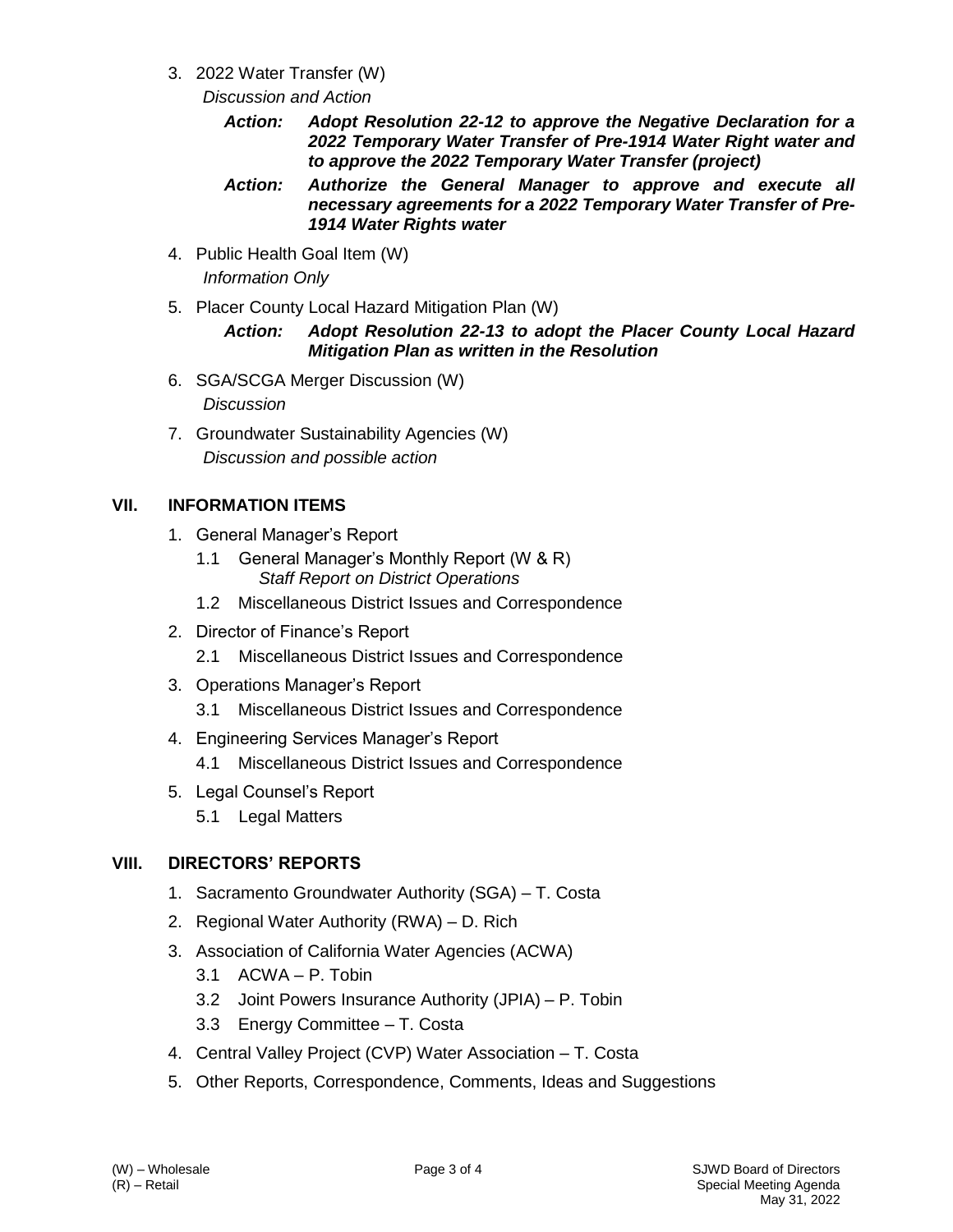- 3. 2022 Water Transfer (W)
	- *Discussion and Action*
		- *Action: Adopt Resolution 22-12 to approve the Negative Declaration for a 2022 Temporary Water Transfer of Pre-1914 Water Right water and to approve the 2022 Temporary Water Transfer (project)*
		- *Action: Authorize the General Manager to approve and execute all necessary agreements for a 2022 Temporary Water Transfer of Pre-1914 Water Rights water*
- 4. Public Health Goal Item (W) *Information Only*
- 5. Placer County Local Hazard Mitigation Plan (W)

### *Action: Adopt Resolution 22-13 to adopt the Placer County Local Hazard Mitigation Plan as written in the Resolution*

- 6. SGA/SCGA Merger Discussion (W) *Discussion*
- 7. Groundwater Sustainability Agencies (W) *Discussion and possible action*

# **VII. INFORMATION ITEMS**

- 1. General Manager's Report
	- 1.1 General Manager's Monthly Report (W & R) *Staff Report on District Operations*
	- 1.2 Miscellaneous District Issues and Correspondence
- 2. Director of Finance's Report
	- 2.1 Miscellaneous District Issues and Correspondence
- 3. Operations Manager's Report
	- 3.1 Miscellaneous District Issues and Correspondence
- 4. Engineering Services Manager's Report
	- 4.1 Miscellaneous District Issues and Correspondence
- 5. Legal Counsel's Report
	- 5.1 Legal Matters

# **VIII. DIRECTORS' REPORTS**

- 1. Sacramento Groundwater Authority (SGA) T. Costa
- 2. Regional Water Authority (RWA) D. Rich
- 3. Association of California Water Agencies (ACWA)
	- 3.1 ACWA P. Tobin
	- 3.2 Joint Powers Insurance Authority (JPIA) P. Tobin
	- 3.3 Energy Committee T. Costa
- 4. Central Valley Project (CVP) Water Association T. Costa
- 5. Other Reports, Correspondence, Comments, Ideas and Suggestions